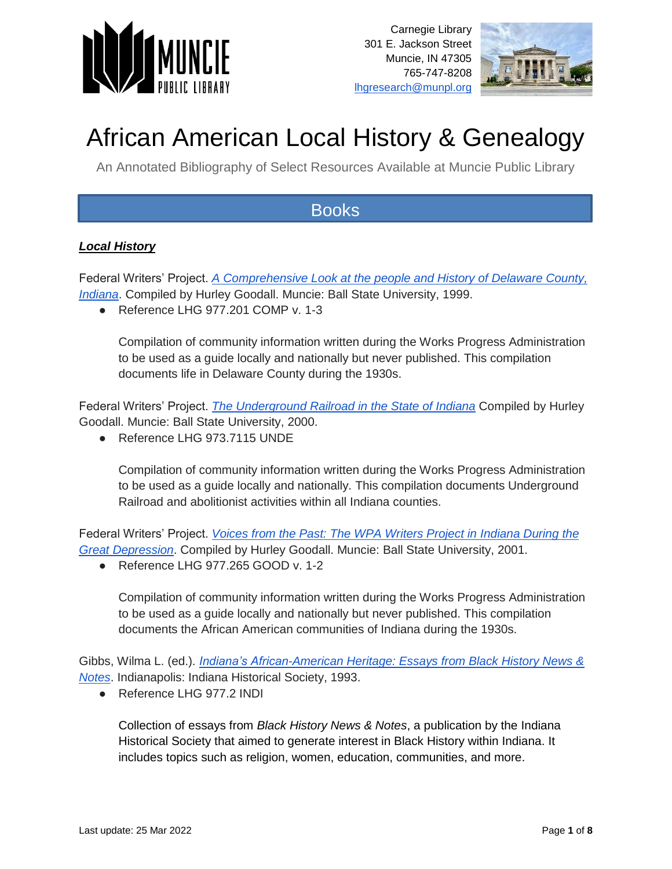



# African American Local History & Genealogy

An Annotated Bibliography of Select Resources Available at Muncie Public Library

### **Books**

#### *Local History*

Federal Writers' Project. *[A Comprehensive Look at the people and History of Delaware County,](https://muncie.tlcdelivers.com/#section=resource&resourceid=6331895¤tIndex=0&view=fullDetailsDetailsTab)  [Indiana](https://muncie.tlcdelivers.com/#section=resource&resourceid=6331895¤tIndex=0&view=fullDetailsDetailsTab)*. Compiled by Hurley Goodall. Muncie: Ball State University, 1999.

● Reference LHG 977.201 COMP v. 1-3

Compilation of community information written during the Works Progress Administration to be used as a guide locally and nationally but never published. This compilation documents life in Delaware County during the 1930s.

Federal Writers' Project. *[The Underground Railroad in the State of Indiana](https://muncie.tlcdelivers.com/#section=resource&resourceid=4336660¤tIndex=0&view=fullDetailsDetailsTab)* Compiled by Hurley Goodall. Muncie: Ball State University, 2000.

● Reference LHG 973.7115 UNDE

Compilation of community information written during the Works Progress Administration to be used as a guide locally and nationally. This compilation documents Underground Railroad and abolitionist activities within all Indiana counties.

Federal Writers' Project. *[Voices from the Past: The WPA Writers Project in Indiana During the](https://muncie.tlcdelivers.com/#section=resource&resourceid=9482773¤tIndex=1&view=fullDetailsDetailsTab)  [Great Depression](https://muncie.tlcdelivers.com/#section=resource&resourceid=9482773¤tIndex=1&view=fullDetailsDetailsTab)*. Compiled by Hurley Goodall. Muncie: Ball State University, 2001.

● Reference LHG 977.265 GOOD v. 1-2

Compilation of community information written during the Works Progress Administration to be used as a guide locally and nationally but never published. This compilation documents the African American communities of Indiana during the 1930s.

Gibbs, Wilma L. (ed.). *[Indiana's African-American Heritage: Essays from Black History News &](https://muncie.tlcdelivers.com/#section=resource&resourceid=6160555¤tIndex=0&view=fullDetailsDetailsTab)  [Notes](https://muncie.tlcdelivers.com/#section=resource&resourceid=6160555¤tIndex=0&view=fullDetailsDetailsTab)*. Indianapolis: Indiana Historical Society, 1993.

● Reference LHG 977.2 INDI

Collection of essays from *Black History News & Notes*, a publication by the Indiana Historical Society that aimed to generate interest in Black History within Indiana. It includes topics such as religion, women, education, communities, and more.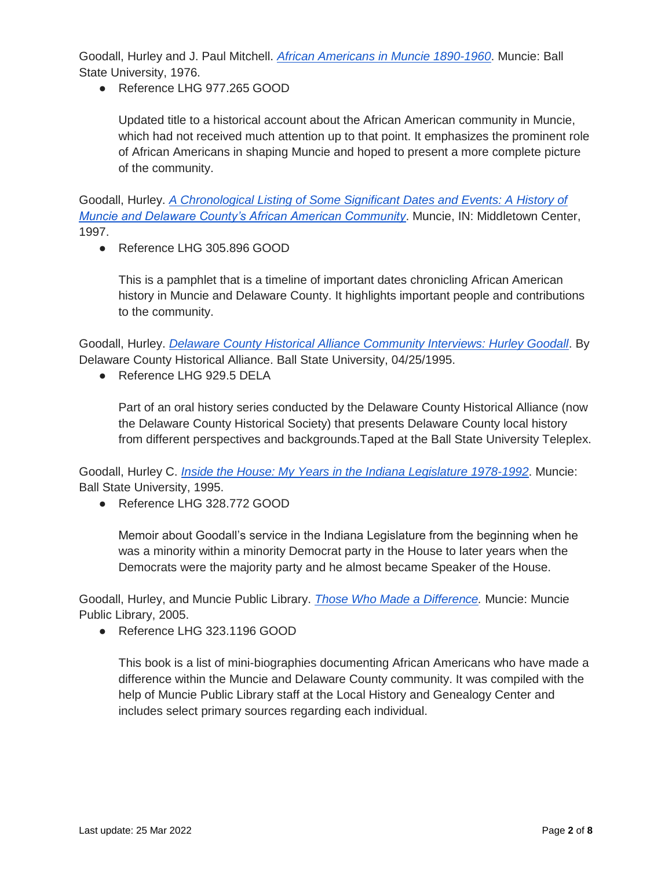Goodall, Hurley and J. Paul Mitchell. *[African Americans in Muncie 1890-1960](https://muncie.tlcdelivers.com/#section=resource&resourceid=1655784¤tIndex=0&view=fullDetailsDetailsTab)*. Muncie: Ball State University, 1976.

● Reference LHG 977.265 GOOD

Updated title to a historical account about the African American community in Muncie, which had not received much attention up to that point. It emphasizes the prominent role of African Americans in shaping Muncie and hoped to present a more complete picture of the community.

Goodall, Hurley. *[A Chronological Listing of Some Significant Dates and Events: A History of](https://muncie.tlcdelivers.com/#section=resource&resourceid=4687562¤tIndex=0&view=fullDetailsDetailsTab)  [Muncie and Delaware County's African American Community](https://muncie.tlcdelivers.com/#section=resource&resourceid=4687562¤tIndex=0&view=fullDetailsDetailsTab)*. Muncie, IN: Middletown Center, 1997.

● Reference LHG 305.896 GOOD

This is a pamphlet that is a timeline of important dates chronicling African American history in Muncie and Delaware County. It highlights important people and contributions to the community.

Goodall, Hurley. *[Delaware County Historical Alliance Community Interviews: Hurley Goodall](https://muncie.tlcdelivers.com/#section=resource&resourceid=4842281¤tIndex=0&view=allCopiesDetailsTab)*. By Delaware County Historical Alliance. Ball State University, 04/25/1995.

● Reference LHG 929.5 DELA

Part of an oral history series conducted by the Delaware County Historical Alliance (now the Delaware County Historical Society) that presents Delaware County local history from different perspectives and backgrounds.Taped at the Ball State University Teleplex.

Goodall, Hurley C. *[Inside the House: My Years in the Indiana Legislature](https://muncie.tlcdelivers.com/#section=resource&resourceid=1355838¤tIndex=0&view=fullDetailsDetailsTab) [1978-1992](https://muncie.tlcdelivers.com/#section=resource&resourceid=1355838¤tIndex=0&view=fullDetailsDetailsTab)*. Muncie: Ball State University, 1995.

● Reference LHG 328.772 GOOD

Memoir about Goodall's service in the Indiana Legislature from the beginning when he was a minority within a minority Democrat party in the House to later years when the Democrats were the majority party and he almost became Speaker of the House.

Goodall, Hurley, and Muncie Public Library. *[Those Who Made a Difference.](https://muncie.tlcdelivers.com/#section=resource&resourceid=10139591¤tIndex=1&view=allCopiesDetailsTab)* Muncie: Muncie Public Library, 2005.

● Reference LHG 323.1196 GOOD

This book is a list of mini-biographies documenting African Americans who have made a difference within the Muncie and Delaware County community. It was compiled with the help of Muncie Public Library staff at the Local History and Genealogy Center and includes select primary sources regarding each individual.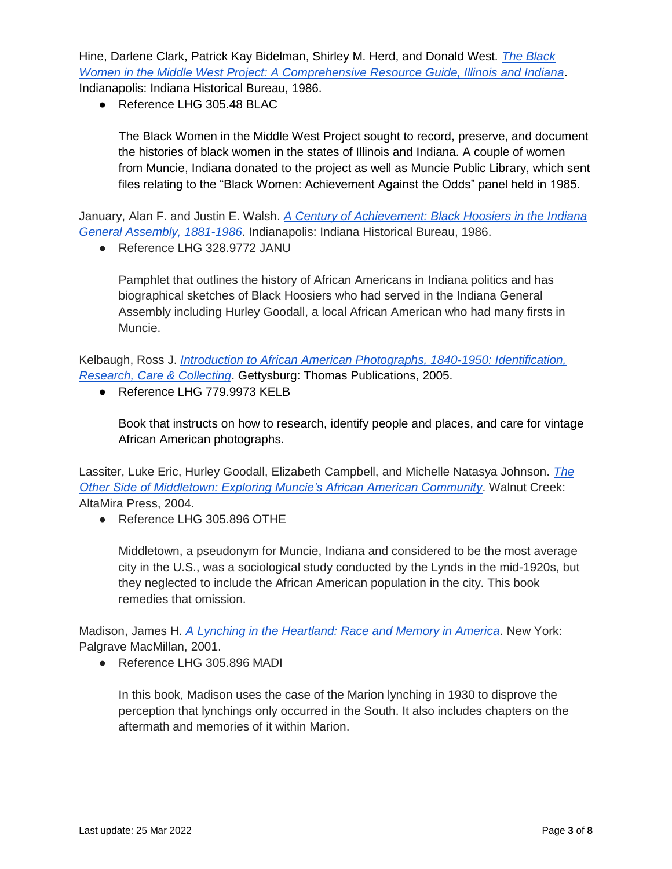Hine, Darlene Clark, Patrick Kay Bidelman, Shirley M. Herd, and Donald West. *[The Black](https://muncie.tlcdelivers.com/#section=resource&resourceid=10376253¤tIndex=0&view=fullDetailsDetailsTab)  [Women in the Middle West Project: A Comprehensive Resource Guide, Illinois and Indiana](https://muncie.tlcdelivers.com/#section=resource&resourceid=10376253¤tIndex=0&view=fullDetailsDetailsTab)*. Indianapolis: Indiana Historical Bureau, 1986.

● Reference LHG 305.48 BLAC

The Black Women in the Middle West Project sought to record, preserve, and document the histories of black women in the states of Illinois and Indiana. A couple of women from Muncie, Indiana donated to the project as well as Muncie Public Library, which sent files relating to the "Black Women: Achievement Against the Odds" panel held in 1985.

January, Alan F. and Justin E. Walsh. *[A Century of Achievement: Black Hoosiers in the Indiana](https://muncie.tlcdelivers.com/#section=resource&resourceid=10184173¤tIndex=0&view=fullDetailsDetailsTab)  [General Assembly, 1881-1986](https://muncie.tlcdelivers.com/#section=resource&resourceid=10184173¤tIndex=0&view=fullDetailsDetailsTab)*. Indianapolis: Indiana Historical Bureau, 1986.

● Reference LHG 328.9772 JANU

Pamphlet that outlines the history of African Americans in Indiana politics and has biographical sketches of Black Hoosiers who had served in the Indiana General Assembly including Hurley Goodall, a local African American who had many firsts in Muncie.

Kelbaugh, Ross J. *[Introduction to African American Photographs, 1840-1950: Identification,](https://muncie.tlcdelivers.com/#section=resource&resourceid=59335718¤tIndex=5&view=fullDetailsDetailsTab)  [Research, Care & Collecting](https://muncie.tlcdelivers.com/#section=resource&resourceid=59335718¤tIndex=5&view=fullDetailsDetailsTab)*. Gettysburg: Thomas Publications, 2005.

● Reference LHG 779.9973 KELB

Book that instructs on how to research, identify people and places, and care for vintage African American photographs.

Lassiter, Luke Eric, Hurley Goodall, Elizabeth Campbell, and Michelle Natasya Johnson. *[The](https://muncie.tlcdelivers.com/#section=resource&resourceid=269135626¤tIndex=6&view=fullDetailsDetailsTab)  [Other Side of Middletown: Exploring Muncie's African American Community](https://muncie.tlcdelivers.com/#section=resource&resourceid=269135626¤tIndex=6&view=fullDetailsDetailsTab)*. Walnut Creek: AltaMira Press, 2004.

● Reference LHG 305.896 OTHE

Middletown, a pseudonym for Muncie, Indiana and considered to be the most average city in the U.S., was a sociological study conducted by the Lynds in the mid-1920s, but they neglected to include the African American population in the city. This book remedies that omission.

Madison, James H. *[A Lynching in the Heartland: Race and Memory in America](https://muncie.tlcdelivers.com/#section=resource&resourceid=48284366¤tIndex=0&view=fullDetailsDetailsTab)*. New York: Palgrave MacMillan, 2001.

● Reference LHG 305.896 MADI

In this book, Madison uses the case of the Marion lynching in 1930 to disprove the perception that lynchings only occurred in the South. It also includes chapters on the aftermath and memories of it within Marion.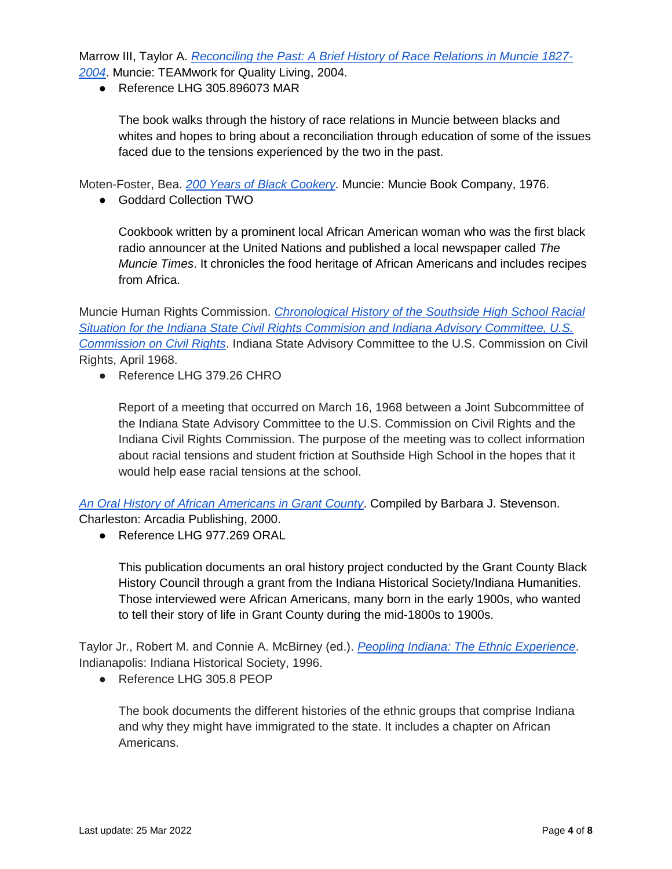Marrow III, Taylor A. *[Reconciling the Past: A Brief History of Race Relations in Muncie 1827-](https://muncie.tlcdelivers.com/#section=resource&resourceid=1057582021¤tIndex=0&view=fullDetailsDetailsTab) [2004](https://muncie.tlcdelivers.com/#section=resource&resourceid=1057582021¤tIndex=0&view=fullDetailsDetailsTab)*. Muncie: TEAMwork for Quality Living, 2004.

● Reference LHG 305.896073 MAR

The book walks through the history of race relations in Muncie between blacks and whites and hopes to bring about a reconciliation through education of some of the issues faced due to the tensions experienced by the two in the past.

Moten-Foster, Bea. *[200 Years of Black Cookery](https://muncie.tlcdelivers.com/#section=resource&resourceid=1158073¤tIndex=7&view=fullDetailsDetailsTab)*. Muncie: Muncie Book Company, 1976.

● Goddard Collection TWO

Cookbook written by a prominent local African American woman who was the first black radio announcer at the United Nations and published a local newspaper called *The Muncie Times*. It chronicles the food heritage of African Americans and includes recipes from Africa.

Muncie Human Rights Commission. *[Chronological History of the Southside High School Racial](https://muncie.tlcdelivers.com/#section=resource&resourceid=10160920¤tIndex=3&view=allCopiesDetailsTab)  [Situation for the Indiana State Civil Rights Commision and Indiana Advisory Committee, U.S.](https://muncie.tlcdelivers.com/#section=resource&resourceid=10160920¤tIndex=3&view=allCopiesDetailsTab)  [Commission on Civil Rights](https://muncie.tlcdelivers.com/#section=resource&resourceid=10160920¤tIndex=3&view=allCopiesDetailsTab)*. Indiana State Advisory Committee to the U.S. Commission on Civil Rights, April 1968.

● Reference LHG 379.26 CHRO

Report of a meeting that occurred on March 16, 1968 between a Joint Subcommittee of the Indiana State Advisory Committee to the U.S. Commission on Civil Rights and the Indiana Civil Rights Commission. The purpose of the meeting was to collect information about racial tensions and student friction at Southside High School in the hopes that it would help ease racial tensions at the school.

*[An Oral History of African Americans in Grant County](https://muncie.tlcdelivers.com/#section=resource&resourceid=6029511¤tIndex=0&view=fullDetailsDetailsTab)*. Compiled by Barbara J. Stevenson.

Charleston: Arcadia Publishing, 2000.

● Reference LHG 977.269 ORAL

This publication documents an oral history project conducted by the Grant County Black History Council through a grant from the Indiana Historical Society/Indiana Humanities. Those interviewed were African Americans, many born in the early 1900s, who wanted to tell their story of life in Grant County during the mid-1800s to 1900s.

Taylor Jr., Robert M. and Connie A. McBirney (ed.). *[Peopling Indiana: The Ethnic Experience](https://muncie.tlcdelivers.com/#section=resource&resourceid=9257994¤tIndex=0&view=allCopiesDetailsTab)*. Indianapolis: Indiana Historical Society, 1996.

● Reference LHG 305.8 PEOP

The book documents the different histories of the ethnic groups that comprise Indiana and why they might have immigrated to the state. It includes a chapter on African Americans.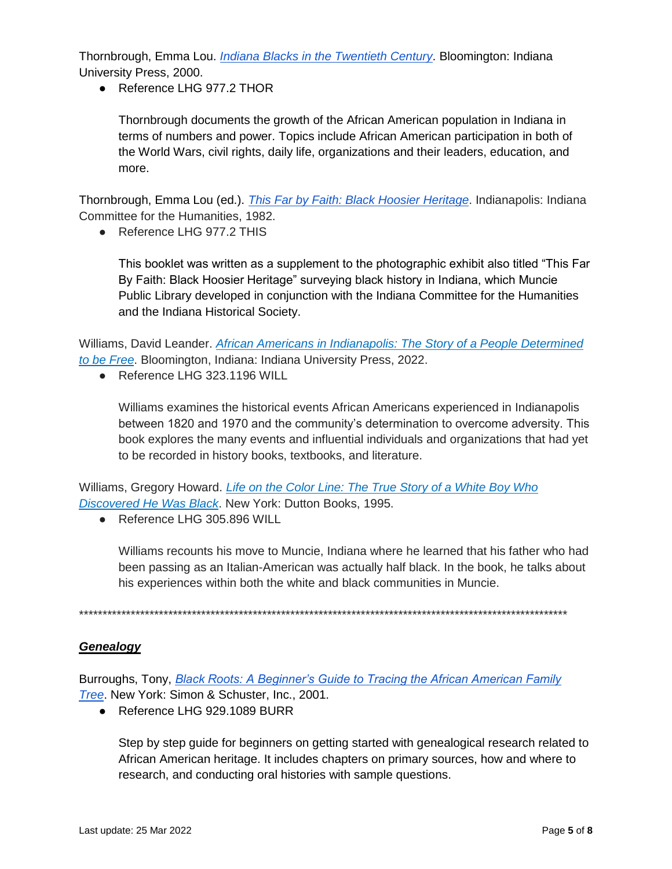Thornbrough, Emma Lou. *[Indiana Blacks in the Twentieth Century](https://muncie.tlcdelivers.com/#section=resource&resourceid=83132871¤tIndex=0&view=fullDetailsDetailsTab)*. Bloomington: Indiana University Press, 2000.

● Reference LHG 977.2 THOR

Thornbrough documents the growth of the African American population in Indiana in terms of numbers and power. Topics include African American participation in both of the World Wars, civil rights, daily life, organizations and their leaders, education, and more.

Thornbrough, Emma Lou (ed.). *[This Far by Faith: Black Hoosier Heritage](https://muncie.tlcdelivers.com/#section=resource&resourceid=9507478¤tIndex=0&view=fullDetailsDetailsTab)*. Indianapolis: Indiana Committee for the Humanities, 1982.

● Reference LHG 977.2 THIS

This booklet was written as a supplement to the photographic exhibit also titled "This Far By Faith: Black Hoosier Heritage" surveying black history in Indiana, which Muncie Public Library developed in conjunction with the Indiana Committee for the Humanities and the Indiana Historical Society.

Williams, David Leander. *[African Americans in Indianapolis: The Story of a People Determined](https://muncie.tlcdelivers.com/#section=resource&resourceid=2230633904¤tIndex=0&view=fullDetailsDetailsTab)  [to be Free](https://muncie.tlcdelivers.com/#section=resource&resourceid=2230633904¤tIndex=0&view=fullDetailsDetailsTab)*. Bloomington, Indiana: Indiana University Press, 2022.

● Reference LHG 323.1196 WILL

Williams examines the historical events African Americans experienced in Indianapolis between 1820 and 1970 and the community's determination to overcome adversity. This book explores the many events and influential individuals and organizations that had yet to be recorded in history books, textbooks, and literature.

Williams, Gregory Howard. *[Life on the Color Line: The True Story of a White Boy Who](https://muncie.tlcdelivers.com/#section=resource&resourceid=6164681¤tIndex=2&view=allCopiesDetailsTab)  [Discovered He Was Black](https://muncie.tlcdelivers.com/#section=resource&resourceid=6164681¤tIndex=2&view=allCopiesDetailsTab)*. New York: Dutton Books, 1995.

● Reference LHG 305.896 WILL

Williams recounts his move to Muncie, Indiana where he learned that his father who had been passing as an Italian-American was actually half black. In the book, he talks about his experiences within both the white and black communities in Muncie.

\*\*\*\*\*\*\*\*\*\*\*\*\*\*\*\*\*\*\*\*\*\*\*\*\*\*\*\*\*\*\*\*\*\*\*\*\*\*\*\*\*\*\*\*\*\*\*\*\*\*\*\*\*\*\*\*\*\*\*\*\*\*\*\*\*\*\*\*\*\*\*\*\*\*\*\*\*\*\*\*\*\*\*\*\*\*\*\*\*\*\*\*\*\*\*\*\*\*\*\*\*\*\*\*

#### *Genealogy*

Burroughs, Tony, *[Black Roots: A Beginner's Guide to Tracing the African American Family](https://muncie.tlcdelivers.com/#section=resource&resourceid=1443922¤tIndex=7&view=fullDetailsDetailsTab)  [Tree](https://muncie.tlcdelivers.com/#section=resource&resourceid=1443922¤tIndex=7&view=fullDetailsDetailsTab)*. New York: Simon & Schuster, Inc., 2001.

● Reference LHG 929.1089 BURR

Step by step guide for beginners on getting started with genealogical research related to African American heritage. It includes chapters on primary sources, how and where to research, and conducting oral histories with sample questions.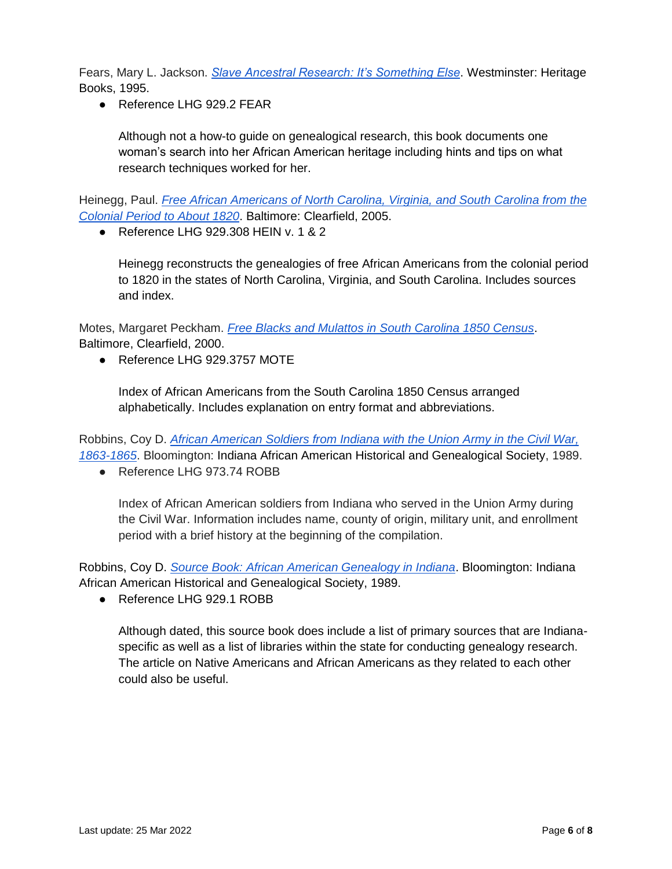Fears, Mary L. Jackson. *[Slave Ancestral Research: It's Something Else](https://muncie.tlcdelivers.com/#section=resource&resourceid=281362341¤tIndex=11&view=allCopiesDetailsTab)*. Westminster: Heritage Books, 1995.

● Reference LHG 929.2 FEAR

Although not a how-to guide on genealogical research, this book documents one woman's search into her African American heritage including hints and tips on what research techniques worked for her.

Heinegg, Paul. *[Free African Americans of North Carolina, Virginia, and South Carolina from the](https://muncie.tlcdelivers.com/#section=resource&resourceid=9741360¤tIndex=10&view=fullDetailsDetailsTab)  [Colonial Period to About 1820](https://muncie.tlcdelivers.com/#section=resource&resourceid=9741360¤tIndex=10&view=fullDetailsDetailsTab)*. Baltimore: Clearfield, 2005.

● Reference LHG 929.308 HEIN v. 1 & 2

Heinegg reconstructs the genealogies of free African Americans from the colonial period to 1820 in the states of North Carolina, Virginia, and South Carolina. Includes sources and index.

Motes, Margaret Peckham. *[Free Blacks and Mulattos in South Carolina 1850 Census](https://muncie.tlcdelivers.com/#section=resource&resourceid=10958843¤tIndex=6&view=fullDetailsDetailsTab)*. Baltimore, Clearfield, 2000.

● Reference LHG 929.3757 MOTE

Index of African Americans from the South Carolina 1850 Census arranged alphabetically. Includes explanation on entry format and abbreviations.

Robbins, Coy D. *[African American Soldiers from Indiana with the Union Army in the Civil War,](https://muncie.tlcdelivers.com/#section=resource&resourceid=4199938¤tIndex=2&view=fullDetailsDetailsTab)  [1863-1865](https://muncie.tlcdelivers.com/#section=resource&resourceid=4199938¤tIndex=2&view=fullDetailsDetailsTab)*. Bloomington: Indiana African American Historical and Genealogical Society, 1989.

● Reference LHG 973.74 ROBB

Index of African American soldiers from Indiana who served in the Union Army during the Civil War. Information includes name, county of origin, military unit, and enrollment period with a brief history at the beginning of the compilation.

Robbins, Coy D. *[Source Book: African American Genealogy in Indiana](https://muncie.tlcdelivers.com/#section=resource&resourceid=4199242¤tIndex=4&view=fullDetailsDetailsTab)*. Bloomington: Indiana African American Historical and Genealogical Society, 1989.

● Reference LHG 929.1 ROBB

Although dated, this source book does include a list of primary sources that are Indianaspecific as well as a list of libraries within the state for conducting genealogy research. The article on Native Americans and African Americans as they related to each other could also be useful.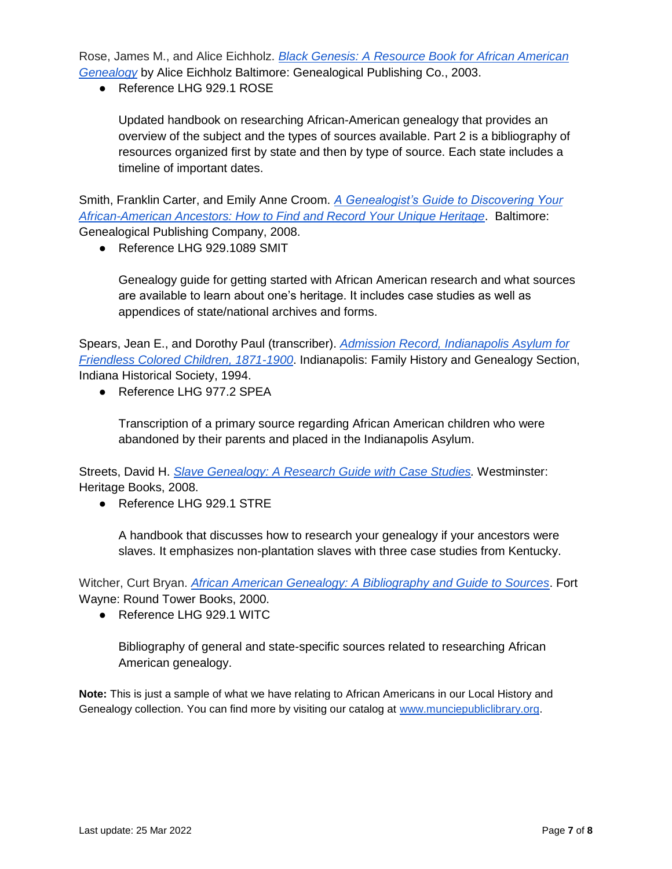Rose, James M., and Alice Eichholz. *[Black Genesis: A Resource Book for African American](https://muncie.tlcdelivers.com/#section=resource&resourceid=546661¤tIndex=2&view=fullDetailsDetailsTab) [Genealogy](https://muncie.tlcdelivers.com/#section=resource&resourceid=546661¤tIndex=2&view=fullDetailsDetailsTab)* by Alice Eichholz Baltimore: Genealogical Publishing Co., 2003.

● Reference LHG 929.1 ROSE

Updated handbook on researching African-American genealogy that provides an overview of the subject and the types of sources available. Part 2 is a bibliography of resources organized first by state and then by type of source. Each state includes a timeline of important dates.

Smith, Franklin Carter, and Emily Anne Croom. *[A Genealogist's Guide to Discovering Your](https://muncie.tlcdelivers.com/#section=resource&resourceid=16328514¤tIndex=6&view=fullDetailsDetailsTab)  [African-American Ancestors: How to Find and Record Your Unique Heritage](https://muncie.tlcdelivers.com/#section=resource&resourceid=16328514¤tIndex=6&view=fullDetailsDetailsTab)*. Baltimore: Genealogical Publishing Company, 2008.

● Reference LHG 929.1089 SMIT

Genealogy guide for getting started with African American research and what sources are available to learn about one's heritage. It includes case studies as well as appendices of state/national archives and forms.

Spears, Jean E., and Dorothy Paul (transcriber). *[Admission Record, Indianapolis Asylum for](https://owl.purdue.edu/owl/research_and_citation/chicago_manual_17th_edition/cmos_formatting_and_style_guide/books.html)  [Friendless Colored Children, 1871-1900](https://owl.purdue.edu/owl/research_and_citation/chicago_manual_17th_edition/cmos_formatting_and_style_guide/books.html)*. Indianapolis: Family History and Genealogy Section, Indiana Historical Society, 1994.

● Reference LHG 977.2 SPEA

Transcription of a primary source regarding African American children who were abandoned by their parents and placed in the Indianapolis Asylum.

Streets, David H. *[Slave Genealogy: A Research Guide with Case Studies.](https://muncie.tlcdelivers.com/#section=resource&resourceid=278771944¤tIndex=0&view=fullDetailsDetailsTab)* Westminster: Heritage Books, 2008.

● Reference LHG 929.1 STRE

A handbook that discusses how to research your genealogy if your ancestors were slaves. It emphasizes non-plantation slaves with three case studies from Kentucky.

Witcher, Curt Bryan. *[African American Genealogy: A Bibliography and Guide to Sources](https://muncie.tlcdelivers.com/#section=resource&resourceid=879778¤tIndex=1&view=fullDetailsDetailsTab)*. Fort Wayne: Round Tower Books, 2000.

● Reference LHG 929.1 WITC

Bibliography of general and state-specific sources related to researching African American genealogy.

**Note:** This is just a sample of what we have relating to African Americans in our Local History and Genealogy collection. You can find more by visiting our catalog at [www.munciepubliclibrary.org.](http://www.munciepubliclibrary.org/)